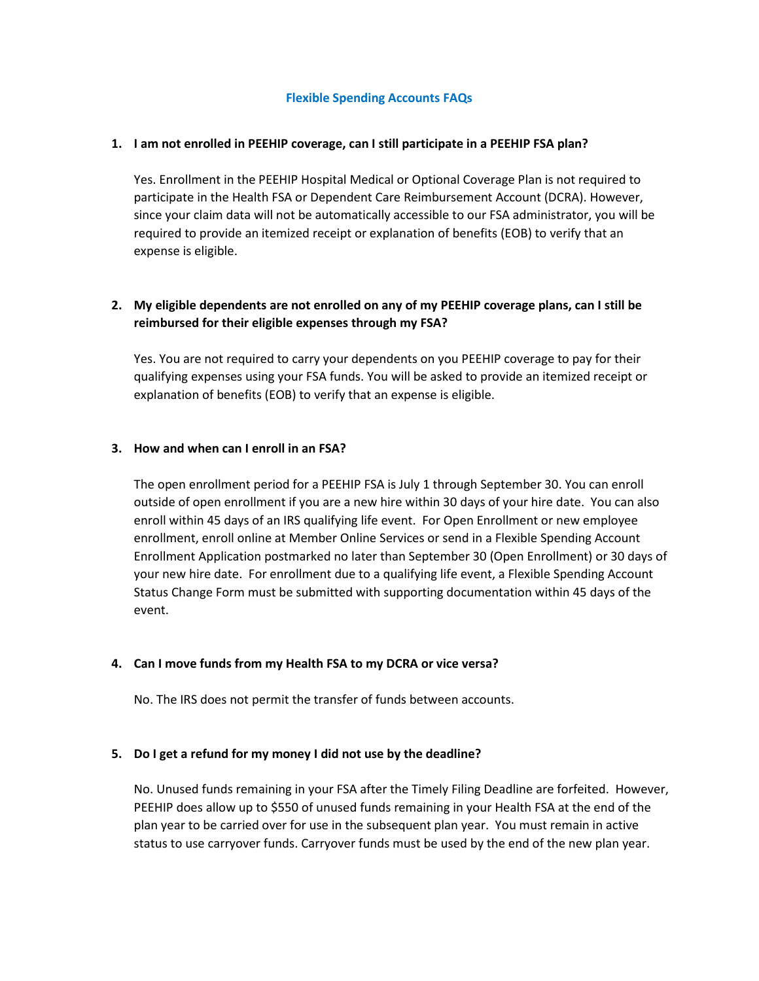### **Flexible Spending Accounts FAQs**

### **1. I am not enrolled in PEEHIP coverage, can I still participate in a PEEHIP FSA plan?**

Yes. Enrollment in the PEEHIP Hospital Medical or Optional Coverage Plan is not required to participate in the Health FSA or Dependent Care Reimbursement Account (DCRA). However, since your claim data will not be automatically accessible to our FSA administrator, you will be required to provide an itemized receipt or explanation of benefits (EOB) to verify that an expense is eligible.

## **2. My eligible dependents are not enrolled on any of my PEEHIP coverage plans, can I still be reimbursed for their eligible expenses through my FSA?**

Yes. You are not required to carry your dependents on you PEEHIP coverage to pay for their qualifying expenses using your FSA funds. You will be asked to provide an itemized receipt or explanation of benefits (EOB) to verify that an expense is eligible.

### **3. How and when can I enroll in an FSA?**

The open enrollment period for a PEEHIP FSA is July 1 through September 30. You can enroll outside of open enrollment if you are a new hire within 30 days of your hire date. You can also enroll within 45 days of an IRS qualifying life event. For Open Enrollment or new employee enrollment, enroll online at Member Online Services or send in a Flexible Spending Account Enrollment Application postmarked no later than September 30 (Open Enrollment) or 30 days of your new hire date. For enrollment due to a qualifying life event, a Flexible Spending Account Status Change Form must be submitted with supporting documentation within 45 days of the event.

### **4. Can I move funds from my Health FSA to my DCRA or vice versa?**

No. The IRS does not permit the transfer of funds between accounts.

### **5. Do I get a refund for my money I did not use by the deadline?**

No. Unused funds remaining in your FSA after the Timely Filing Deadline are forfeited. However, PEEHIP does allow up to \$550 of unused funds remaining in your Health FSA at the end of the plan year to be carried over for use in the subsequent plan year. You must remain in active status to use carryover funds. Carryover funds must be used by the end of the new plan year.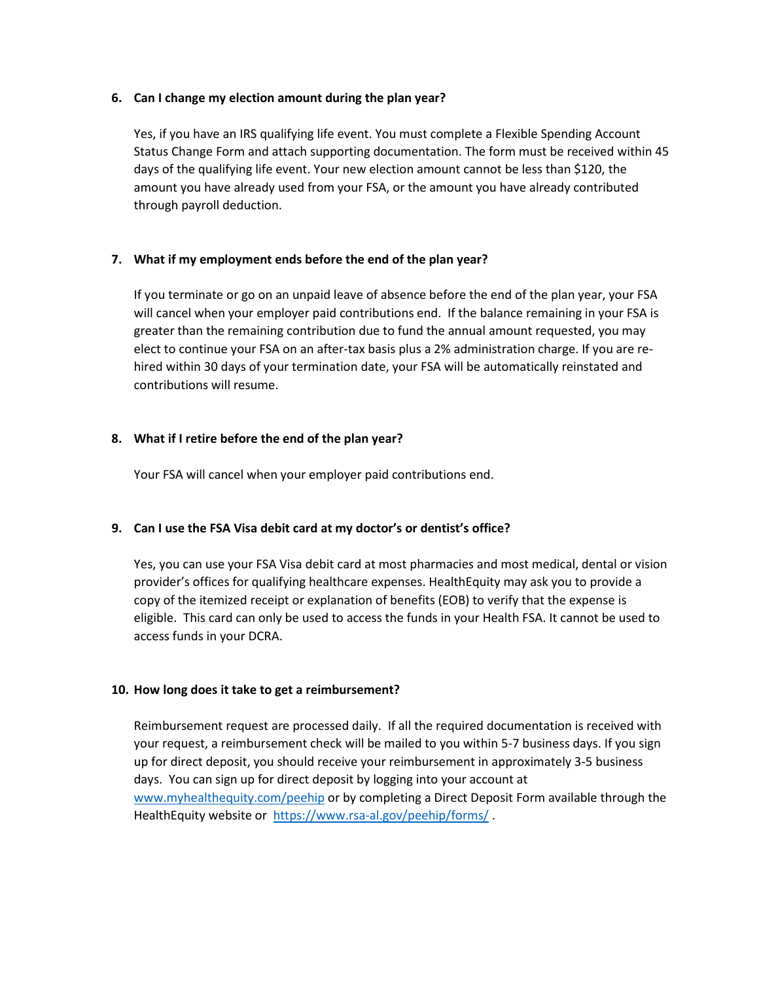### **6. Can I change my election amount during the plan year?**

Yes, if you have an IRS qualifying life event. You must complete a Flexible Spending Account Status Change Form and attach supporting documentation. The form must be received within 45 days of the qualifying life event. Your new election amount cannot be less than \$120, the amount you have already used from your FSA, or the amount you have already contributed through payroll deduction.

## **7. What if my employment ends before the end of the plan year?**

If you terminate or go on an unpaid leave of absence before the end of the plan year, your FSA will cancel when your employer paid contributions end. If the balance remaining in your FSA is greater than the remaining contribution due to fund the annual amount requested, you may elect to continue your FSA on an after-tax basis plus a 2% administration charge. If you are rehired within 30 days of your termination date, your FSA will be automatically reinstated and contributions will resume.

### **8. What if I retire before the end of the plan year?**

Your FSA will cancel when your employer paid contributions end.

# **9. Can I use the FSA Visa debit card at my doctor's or dentist's office?**

Yes, you can use your FSA Visa debit card at most pharmacies and most medical, dental or vision provider's offices for qualifying healthcare expenses. HealthEquity may ask you to provide a copy of the itemized receipt or explanation of benefits (EOB) to verify that the expense is eligible. This card can only be used to access the funds in your Health FSA. It cannot be used to access funds in your DCRA.

### **10. How long does it take to get a reimbursement?**

Reimbursement request are processed daily. If all the required documentation is received with your request, a reimbursement check will be mailed to you within 5-7 business days. If you sign up for direct deposit, you should receive your reimbursement in approximately 3-5 business days. You can sign up for direct deposit by logging into your account at [www.myhealthequity.com/peehip](http://www.myhealthequity.com/peehip) or by completing a Direct Deposit Form available through the HealthEquity website or<https://www.rsa-al.gov/peehip/forms/>.